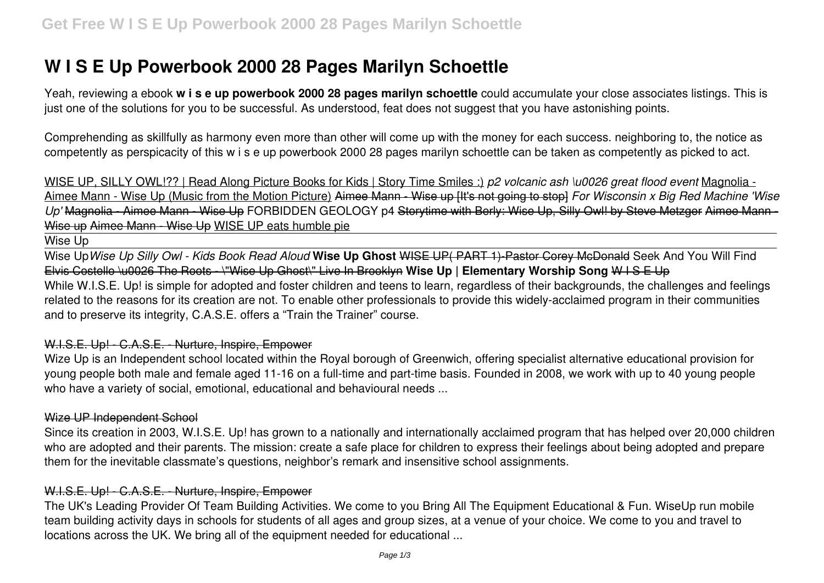# **W I S E Up Powerbook 2000 28 Pages Marilyn Schoettle**

Yeah, reviewing a ebook **w i s e up powerbook 2000 28 pages marilyn schoettle** could accumulate your close associates listings. This is just one of the solutions for you to be successful. As understood, feat does not suggest that you have astonishing points.

Comprehending as skillfully as harmony even more than other will come up with the money for each success. neighboring to, the notice as competently as perspicacity of this w i s e up powerbook 2000 28 pages marilyn schoettle can be taken as competently as picked to act.

WISE UP, SILLY OWL!?? | Read Along Picture Books for Kids | Story Time Smiles :) *p2 volcanic ash \u0026 great flood event* Magnolia - Aimee Mann - Wise Up (Music from the Motion Picture) Aimee Mann - Wise up [It's not going to stop] *For Wisconsin x Big Red Machine 'Wise Up'* Magnolia - Aimee Mann - Wise Up FORBIDDEN GEOLOGY p4 Storytime with Berly: Wise Up, Silly Owl! by Steve Metzger Aimee Mann - Wise up Aimee Mann - Wise Up WISE UP eats humble pie

# Wise Up

Wise Up*Wise Up Silly Owl - Kids Book Read Aloud* **Wise Up Ghost** WISE UP( PART 1)-Pastor Corey McDonald Seek And You Will Find Elvis Costello \u0026 The Roots - \"Wise Up Ghost\" Live In Brooklyn **Wise Up | Elementary Worship Song** W I S E Up While W.I.S.E. Up! is simple for adopted and foster children and teens to learn, regardless of their backgrounds, the challenges and feelings related to the reasons for its creation are not. To enable other professionals to provide this widely-acclaimed program in their communities and to preserve its integrity, C.A.S.E. offers a "Train the Trainer" course.

## W.I.S.E. Up! - C.A.S.E. - Nurture, Inspire, Empower

Wize Up is an Independent school located within the Royal borough of Greenwich, offering specialist alternative educational provision for young people both male and female aged 11-16 on a full-time and part-time basis. Founded in 2008, we work with up to 40 young people who have a variety of social, emotional, educational and behavioural needs ...

#### Wize UP Independent School

Since its creation in 2003, W.I.S.E. Up! has grown to a nationally and internationally acclaimed program that has helped over 20,000 children who are adopted and their parents. The mission: create a safe place for children to express their feelings about being adopted and prepare them for the inevitable classmate's questions, neighbor's remark and insensitive school assignments.

# W.I.S.E. Up! - C.A.S.E. - Nurture, Inspire, Empower

The UK's Leading Provider Of Team Building Activities. We come to you Bring All The Equipment Educational & Fun. WiseUp run mobile team building activity days in schools for students of all ages and group sizes, at a venue of your choice. We come to you and travel to locations across the UK. We bring all of the equipment needed for educational ...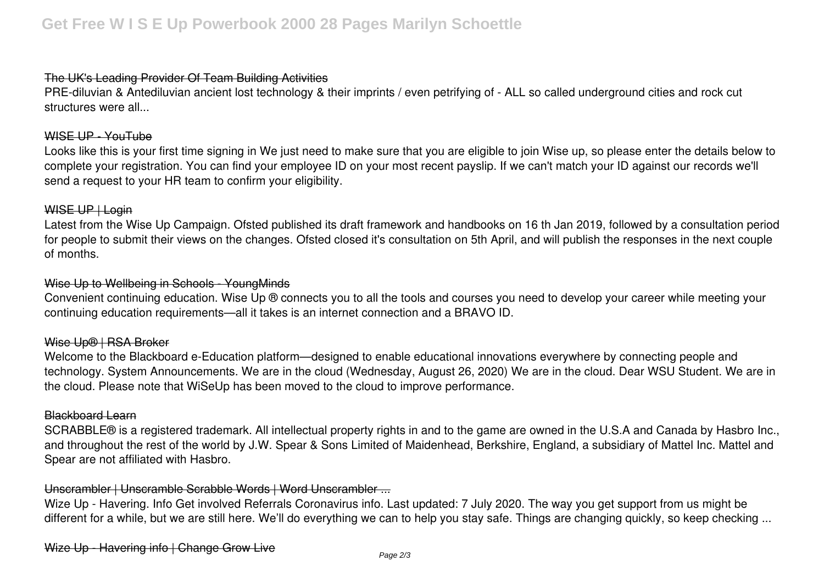## The UK's Leading Provider Of Team Building Activities

PRE-diluvian & Antediluvian ancient lost technology & their imprints / even petrifying of - ALL so called underground cities and rock cut structures were all...

## WISE UP - YouTube

Looks like this is your first time signing in We just need to make sure that you are eligible to join Wise up, so please enter the details below to complete your registration. You can find your employee ID on your most recent payslip. If we can't match your ID against our records we'll send a request to your HR team to confirm your eligibility.

#### WISE UP | Login

Latest from the Wise Up Campaign. Ofsted published its draft framework and handbooks on 16 th Jan 2019, followed by a consultation period for people to submit their views on the changes. Ofsted closed it's consultation on 5th April, and will publish the responses in the next couple of months.

#### Wise Up to Wellbeing in Schools - YoungMinds

Convenient continuing education. Wise Up ® connects you to all the tools and courses you need to develop your career while meeting your continuing education requirements—all it takes is an internet connection and a BRAVO ID.

#### Wise Up® | RSA Broker

Welcome to the Blackboard e-Education platform—designed to enable educational innovations everywhere by connecting people and technology. System Announcements. We are in the cloud (Wednesday, August 26, 2020) We are in the cloud. Dear WSU Student. We are in the cloud. Please note that WiSeUp has been moved to the cloud to improve performance.

#### Blackboard Learn

SCRABBLE® is a registered trademark. All intellectual property rights in and to the game are owned in the U.S.A and Canada by Hasbro Inc., and throughout the rest of the world by J.W. Spear & Sons Limited of Maidenhead, Berkshire, England, a subsidiary of Mattel Inc. Mattel and Spear are not affiliated with Hasbro.

## Unscrambler | Unscramble Scrabble Words | Word Unscrambler ...

Wize Up - Havering. Info Get involved Referrals Coronavirus info. Last updated: 7 July 2020. The way you get support from us might be different for a while, but we are still here. We'll do everything we can to help you stay safe. Things are changing quickly, so keep checking ...